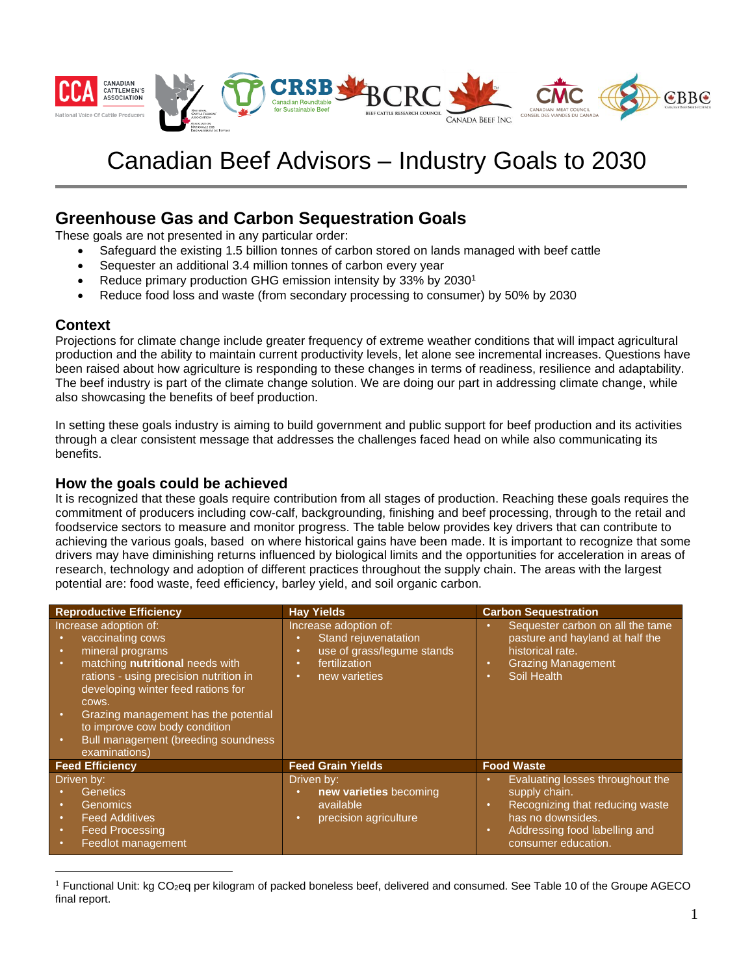

# Canadian Beef Advisors – Industry Goals to 2030

# **Greenhouse Gas and Carbon Sequestration Goals**

These goals are not presented in any particular order:

- Safeguard the existing 1.5 billion tonnes of carbon stored on lands managed with beef cattle
- Sequester an additional 3.4 million tonnes of carbon every year
- Reduce primary production GHG emission intensity by 33% by 2030<sup>1</sup>
- Reduce food loss and waste (from secondary processing to consumer) by 50% by 2030

#### **Context**

Projections for climate change include greater frequency of extreme weather conditions that will impact agricultural production and the ability to maintain current productivity levels, let alone see incremental increases. Questions have been raised about how agriculture is responding to these changes in terms of readiness, resilience and adaptability. The beef industry is part of the climate change solution. We are doing our part in addressing climate change, while also showcasing the benefits of beef production.

In setting these goals industry is aiming to build government and public support for beef production and its activities through a clear consistent message that addresses the challenges faced head on while also communicating its benefits.

#### **How the goals could be achieved**

It is recognized that these goals require contribution from all stages of production. Reaching these goals requires the commitment of producers including cow-calf, backgrounding, finishing and beef processing, through to the retail and foodservice sectors to measure and monitor progress. The table below provides key drivers that can contribute to achieving the various goals, based on where historical gains have been made. It is important to recognize that some drivers may have diminishing returns influenced by biological limits and the opportunities for acceleration in areas of research, technology and adoption of different practices throughout the supply chain. The areas with the largest potential are: food waste, feed efficiency, barley yield, and soil organic carbon.

| <b>Reproductive Efficiency</b>                                                                                                                                                                                                                                                                                             | <b>Hay Yields</b>                                                                                                                         | <b>Carbon Sequestration</b>                                                                                                                   |
|----------------------------------------------------------------------------------------------------------------------------------------------------------------------------------------------------------------------------------------------------------------------------------------------------------------------------|-------------------------------------------------------------------------------------------------------------------------------------------|-----------------------------------------------------------------------------------------------------------------------------------------------|
| Increase adoption of:<br>vaccinating cows<br>mineral programs<br>matching nutritional needs with<br>rations - using precision nutrition in<br>developing winter feed rations for<br>cows.<br>Grazing management has the potential<br>to improve cow body condition<br>Bull management (breeding soundness<br>examinations) | Increase adoption of:<br>Stand rejuvenatation<br>٠<br>use of grass/legume stands<br>٠<br>fertilization<br>$\bullet$<br>new varieties<br>٠ | Sequester carbon on all the tame<br>pasture and hayland at half the<br>historical rate.<br><b>Grazing Management</b><br>٠<br>Soil Health<br>٠ |
| <b>Feed Efficiency</b>                                                                                                                                                                                                                                                                                                     | <b>Feed Grain Yields</b>                                                                                                                  | <b>Food Waste</b>                                                                                                                             |
| Driven by:                                                                                                                                                                                                                                                                                                                 | Driven by:                                                                                                                                | Evaluating losses throughout the                                                                                                              |
| <b>Genetics</b>                                                                                                                                                                                                                                                                                                            | new varieties becoming                                                                                                                    | supply chain.                                                                                                                                 |
| Genomics<br>$\bullet$                                                                                                                                                                                                                                                                                                      | available                                                                                                                                 | Recognizing that reducing waste<br>$\bullet$                                                                                                  |
| <b>Feed Additives</b>                                                                                                                                                                                                                                                                                                      | precision agriculture<br>۰                                                                                                                | has no downsides.                                                                                                                             |
| <b>Feed Processing</b>                                                                                                                                                                                                                                                                                                     |                                                                                                                                           | Addressing food labelling and<br>$\bullet$                                                                                                    |
| Feedlot management                                                                                                                                                                                                                                                                                                         |                                                                                                                                           | consumer education.                                                                                                                           |

<sup>&</sup>lt;sup>1</sup> Functional Unit: kg CO<sub>2</sub>eq per kilogram of packed boneless beef, delivered and consumed. See Table 10 of the Groupe AGECO final report.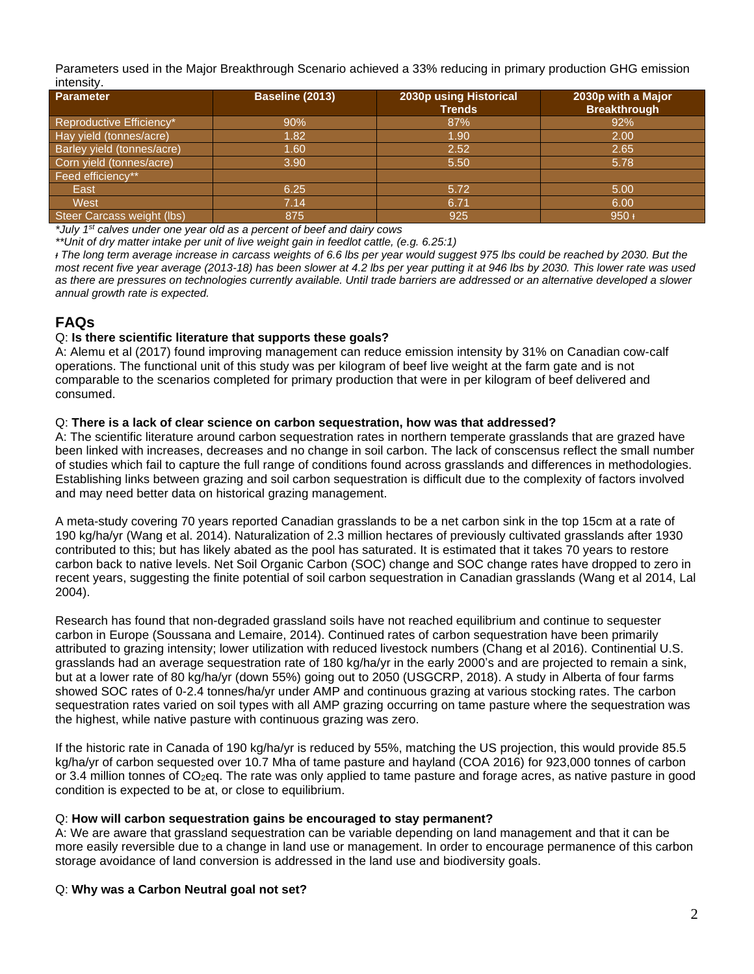Parameters used in the Major Breakthrough Scenario achieved a 33% reducing in primary production GHG emission intensity.

| <b>Parameter</b>                  | Baseline (2013) | 2030p using Historical<br><b>Trends</b> | 2030p with a Major<br><b>Breakthrough</b> |
|-----------------------------------|-----------------|-----------------------------------------|-------------------------------------------|
| Reproductive Efficiency*          | 90%             | 87%                                     | 92%                                       |
| Hay yield (tonnes/acre)           | 1.82            | 1.90                                    | 2.00                                      |
| <b>Barley yield (tonnes/acre)</b> | 1.60            | 2.52                                    | 2.65                                      |
| Corn yield (tonnes/acre)          | 3.90            | 5.50                                    | 5.78                                      |
| Feed efficiency**                 |                 |                                         |                                           |
| East                              | 6.25            | 5.72                                    | 5.00                                      |
| West                              | 7.14            | 6.71                                    | 6.00                                      |
| Steer Carcass weight (lbs)        | 875             | 925                                     | $950 +$                                   |

*\*July 1 st calves under one year old as a percent of beef and dairy cows*

*\*\*Unit of dry matter intake per unit of live weight gain in feedlot cattle, (e.g. 6.25:1)*

*ᵻ The long term average increase in carcass weights of 6.6 lbs per year would suggest 975 lbs could be reached by 2030. But the most recent five year average (2013-18) has been slower at 4.2 lbs per year putting it at 946 lbs by 2030. This lower rate was used*  as there are pressures on technologies currently available. Until trade barriers are addressed or an alternative developed a slower *annual growth rate is expected.*

# **FAQs**

#### Q: **Is there scientific literature that supports these goals?**

A: Alemu et al (2017) found improving management can reduce emission intensity by 31% on Canadian cow-calf operations. The functional unit of this study was per kilogram of beef live weight at the farm gate and is not comparable to the scenarios completed for primary production that were in per kilogram of beef delivered and consumed.

#### Q: **There is a lack of clear science on carbon sequestration, how was that addressed?**

A: The scientific literature around carbon sequestration rates in northern temperate grasslands that are grazed have been linked with increases, decreases and no change in soil carbon. The lack of conscensus reflect the small number of studies which fail to capture the full range of conditions found across grasslands and differences in methodologies. Establishing links between grazing and soil carbon sequestration is difficult due to the complexity of factors involved and may need better data on historical grazing management.

A meta-study covering 70 years reported Canadian grasslands to be a net carbon sink in the top 15cm at a rate of 190 kg/ha/yr (Wang et al. 2014). Naturalization of 2.3 million hectares of previously cultivated grasslands after 1930 contributed to this; but has likely abated as the pool has saturated. It is estimated that it takes 70 years to restore carbon back to native levels. Net Soil Organic Carbon (SOC) change and SOC change rates have dropped to zero in recent years, suggesting the finite potential of soil carbon sequestration in Canadian grasslands (Wang et al 2014, Lal 2004).

Research has found that non-degraded grassland soils have not reached equilibrium and continue to sequester carbon in Europe (Soussana and Lemaire, 2014). Continued rates of carbon sequestration have been primarily attributed to grazing intensity; lower utilization with reduced livestock numbers (Chang et al 2016). Continential U.S. grasslands had an average sequestration rate of 180 kg/ha/yr in the early 2000's and are projected to remain a sink, but at a lower rate of 80 kg/ha/yr (down 55%) going out to 2050 (USGCRP, 2018). A study in Alberta of four farms showed SOC rates of 0-2.4 tonnes/ha/yr under AMP and continuous grazing at various stocking rates. The carbon sequestration rates varied on soil types with all AMP grazing occurring on tame pasture where the sequestration was the highest, while native pasture with continuous grazing was zero.

If the historic rate in Canada of 190 kg/ha/yr is reduced by 55%, matching the US projection, this would provide 85.5 kg/ha/yr of carbon sequested over 10.7 Mha of tame pasture and hayland (COA 2016) for 923,000 tonnes of carbon or 3.4 million tonnes of CO2eq. The rate was only applied to tame pasture and forage acres, as native pasture in good condition is expected to be at, or close to equilibrium.

#### Q: **How will carbon sequestration gains be encouraged to stay permanent?**

A: We are aware that grassland sequestration can be variable depending on land management and that it can be more easily reversible due to a change in land use or management. In order to encourage permanence of this carbon storage avoidance of land conversion is addressed in the land use and biodiversity goals.

#### Q: **Why was a Carbon Neutral goal not set?**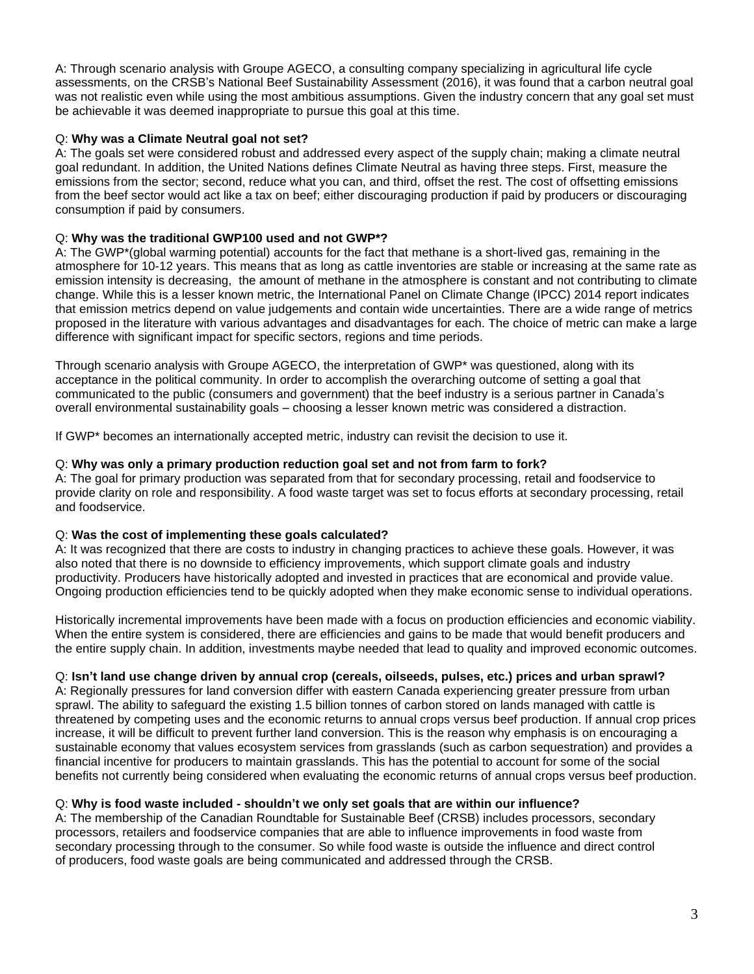A: Through scenario analysis with Groupe AGECO, a consulting company specializing in agricultural life cycle assessments, on the CRSB's National Beef Sustainability Assessment (2016), it was found that a carbon neutral goal was not realistic even while using the most ambitious assumptions. Given the industry concern that any goal set must be achievable it was deemed inappropriate to pursue this goal at this time.

#### Q: **Why was a Climate Neutral goal not set?**

A: The goals set were considered robust and addressed every aspect of the supply chain; making a climate neutral goal redundant. In addition, the United Nations defines Climate Neutral as having three steps. First, measure the emissions from the sector; second, reduce what you can, and third, offset the rest. The cost of offsetting emissions from the beef sector would act like a tax on beef; either discouraging production if paid by producers or discouraging consumption if paid by consumers.

#### Q: **Why was the traditional GWP100 used and not GWP\*?**

A: The GWP\*(global warming potential) accounts for the fact that methane is a short-lived gas, remaining in the atmosphere for 10-12 years. This means that as long as cattle inventories are stable or increasing at the same rate as emission intensity is decreasing, the amount of methane in the atmosphere is constant and not contributing to climate change. While this is a lesser known metric, the International Panel on Climate Change (IPCC) 2014 report indicates that emission metrics depend on value judgements and contain wide uncertainties. There are a wide range of metrics proposed in the literature with various advantages and disadvantages for each. The choice of metric can make a large difference with significant impact for specific sectors, regions and time periods.

Through scenario analysis with Groupe AGECO, the interpretation of GWP\* was questioned, along with its acceptance in the political community. In order to accomplish the overarching outcome of setting a goal that communicated to the public (consumers and government) that the beef industry is a serious partner in Canada's overall environmental sustainability goals – choosing a lesser known metric was considered a distraction.

If GWP\* becomes an internationally accepted metric, industry can revisit the decision to use it.

#### Q: **Why was only a primary production reduction goal set and not from farm to fork?**

A: The goal for primary production was separated from that for secondary processing, retail and foodservice to provide clarity on role and responsibility. A food waste target was set to focus efforts at secondary processing, retail and foodservice.

#### Q: **Was the cost of implementing these goals calculated?**

A: It was recognized that there are costs to industry in changing practices to achieve these goals. However, it was also noted that there is no downside to efficiency improvements, which support climate goals and industry productivity. Producers have historically adopted and invested in practices that are economical and provide value. Ongoing production efficiencies tend to be quickly adopted when they make economic sense to individual operations.

Historically incremental improvements have been made with a focus on production efficiencies and economic viability. When the entire system is considered, there are efficiencies and gains to be made that would benefit producers and the entire supply chain. In addition, investments maybe needed that lead to quality and improved economic outcomes.

## Q: **Isn't land use change driven by annual crop (cereals, oilseeds, pulses, etc.) prices and urban sprawl?**

A: Regionally pressures for land conversion differ with eastern Canada experiencing greater pressure from urban sprawl. The ability to safeguard the existing 1.5 billion tonnes of carbon stored on lands managed with cattle is threatened by competing uses and the economic returns to annual crops versus beef production. If annual crop prices increase, it will be difficult to prevent further land conversion. This is the reason why emphasis is on encouraging a sustainable economy that values ecosystem services from grasslands (such as carbon sequestration) and provides a financial incentive for producers to maintain grasslands. This has the potential to account for some of the social benefits not currently being considered when evaluating the economic returns of annual crops versus beef production.

## Q: **Why is food waste included - shouldn't we only set goals that are within our influence?**

A: The membership of the Canadian Roundtable for Sustainable Beef (CRSB) includes processors, secondary processors, retailers and foodservice companies that are able to influence improvements in food waste from secondary processing through to the consumer. So while food waste is outside the influence and direct control of producers, food waste goals are being communicated and addressed through the CRSB.